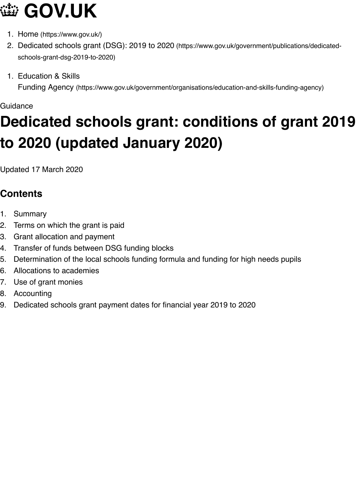**[Guidance](https://www.gov.uk/)** 

# **D[edicated scho](https://www.gov.uk/)ols grant: conditions of grant to [2020 \(updated January 2020\)](https://www.gov.uk/government/publications/dedicated-schools-grant-dsg-2019-to-2020)**

Upd[ated 17 March 2020](https://www.gov.uk/government/organisations/education-and-skills-funding-agency)

# **Contents**

- 1. Summary
- 2. Terms on which the grant is paid
- 3. Grant allocation and payment
- 4. Transfer of funds between DSG funding blocks
- 5. Determination of the local schools funding formula and funding for high needs pupils
- 6. Allocations to academies
- 7. Use of grant monies
- 8. Accounting
- 9. [Dedicated](#page-2-0) schools grant payment dates for financial year 2019 to 2020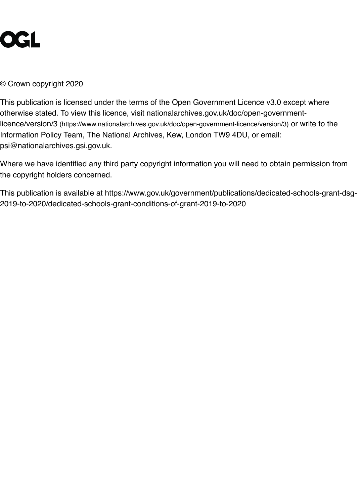This publication is licensed under the terms of the Open Government Licence v3.0 except wl otherwise stated. To view this licence, visit nationalarchives.gov.uk/doc/open-governmentlicence/version/3 (https://www.nationalarchives.gov.uk/doc/open-government-licence/version/3) or write Information Policy Team, The National Archives, Kew, London TW9 4DU, or email: psi@nationalarchives.gsi.gov.uk.

Where we have identified any third party copyright information you will need to obtain permis the copyright holders concerned.

This publication is available at https://www.gov.uk/government/publications/dedicated-school [2019-to-2020/dedicated-schools-grant-conditions-of-grant-2019-to-2020](https://www.nationalarchives.gov.uk/doc/open-government-licence/version/3)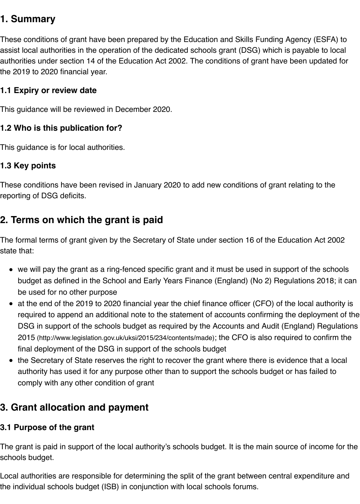<span id="page-2-0"></span>This guidance will be reviewed in December 2020.

#### **1.2 Who is this publication for?**

This guidance is for local authorities.

#### **1.3 Key points**

These conditions have been revised in January 2020 to add new conditions of grant relating reporting of DSG deficits.

# **2. Terms on which the grant is paid**

The formal terms of grant given by the Secretary of State under section 16 of the Education  $\Lambda$ state that:

- we will pay the grant as a ring-fenced specific grant and it must be used in support of the budget as defined in the School and Early Years Finance (England) (No 2) Regulations be used for no other purpose
- at the end of the 2019 to 2020 financial year the chief finance officer (CFO) of the local required to append an additional note to the statement of accounts confirming the deplo DSG in support of the schools budget as required by the Accounts and Audit (England) 2015 (http://www.legislation.gov.uk/uksi/2015/234/contents/made); the CFO is also required to on final deployment of the DSG in support of the schools budget
- the Secretary of State reserves the right to recover the grant where there is evidence th authority has used it for any purpose other than to support the schools budget or has failed to comply with any other condition of grant

# **3. Grant allocation and payment**

#### **3.1 [Purpose of the grant](http://www.legislation.gov.uk/uksi/2015/234/contents/made)**

The grant is paid in support of the local authority's schools budget. It is the main source of in schools budget.

Local authorities are responsible for determining the split of the grant between central expen the individual schools budget (ISB) in conjunction with local schools forums.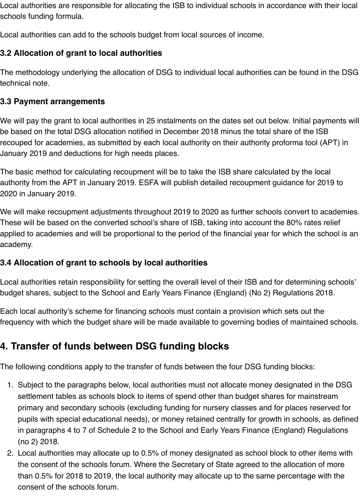Local authorities are responsible for allocating the ISB to individual schools in accordance with their local schools funding formula.

Local authorities can add to the schools budget from local sources of income.

# **3.2 Allocation of grant to local authorities**

The methodology underlying the allocation of DSG to individual local authorities can be found in the DSG technical note.

#### **3.3 Payment arrangements**

We will pay the grant to local authorities in 25 instalments on the dates set out below. Initial payments will be based on the total DSG allocation notified in December 2018 minus the total share of the ISB recouped for academies, as submitted by each local authority on their authority proforma tool (APT) in January 2019 and deductions for high needs places.

The basic method for calculating recoupment will be to take the ISB share calculated by the local authority from the APT in January 2019. ESFA will publish detailed recoupment guidance for 2019 to 2020 in January 2019.

We will make recoupment adjustments throughout 2019 to 2020 as further schools convert to academies. These will be based on the converted school's share of ISB, taking into account the 80% rates relief applied to academies and will be proportional to the period of the financial year for which the school is an academy.

#### **3.4 Allocation of grant to schools by local authorities**

Local authorities retain responsibility for setting the overall level of their ISB and for determining schools' budget shares, subject to the School and Early Years Finance (England) (No 2) Regulations 2018.

Each local authority's scheme for financing schools must contain a provision which sets out the frequency with which the budget share will be made available to governing bodies of maintained schools.

# **4. Transfer of funds between DSG funding blocks**

The following conditions apply to the transfer of funds between the four DSG funding blocks:

- 1. Subject to the paragraphs below, local authorities must not allocate money designated in the DSG settlement tables as schools block to items of spend other than budget shares for mainstream primary and secondary schools (excluding funding for nursery classes and for places reserved for pupils with special educational needs), or money retained centrally for growth in schools, as defined in paragraphs 4 to 7 of Schedule 2 to the School and Early Years Finance (England) Regulations (no 2) 2018.
- 2. Local authorities may allocate up to 0.5% of money designated as school block to other items with the consent of the schools forum. Where the Secretary of State agreed to the allocation of more than 0.5% for 2018 to 2019, the local authority may allocate up to the same percentage with the consent of the schools forum.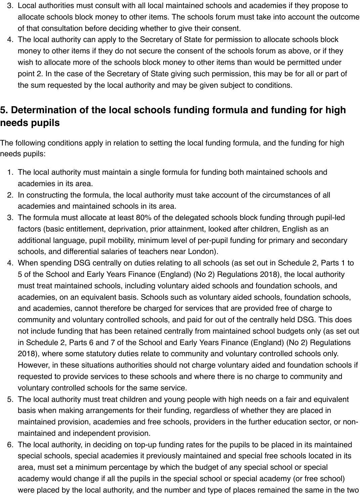- 3. Local authorities must consult with all local maintained schools and academies if they propose to allocate schools block money to other items. The schools forum must take into account the outcome of that consultation before deciding whether to give their consent.
- 4. The local authority can apply to the Secretary of State for permission to allocate schools block money to other items if they do not secure the consent of the schools forum as above, or if they wish to allocate more of the schools block money to other items than would be permitted under point 2. In the case of the Secretary of State giving such permission, this may be for all or part of the sum requested by the local authority and may be given subject to conditions.

# **5. Determination of the local schools funding formula and funding for high needs pupils**

The following conditions apply in relation to setting the local funding formula, and the funding for high needs pupils:

- 1. The local authority must maintain a single formula for funding both maintained schools and academies in its area.
- 2. In constructing the formula, the local authority must take account of the circumstances of all academies and maintained schools in its area.
- 3. The formula must allocate at least 80% of the delegated schools block funding through pupil-led factors (basic entitlement, deprivation, prior attainment, looked after children, English as an additional language, pupil mobility, minimum level of per-pupil funding for primary and secondary schools, and differential salaries of teachers near London).
- 4. When spending DSG centrally on duties relating to all schools (as set out in Schedule 2, Parts 1 to 5 of the School and Early Years Finance (England) (No 2) Regulations 2018), the local authority must treat maintained schools, including voluntary aided schools and foundation schools, and academies, on an equivalent basis. Schools such as voluntary aided schools, foundation schools, and academies, cannot therefore be charged for services that are provided free of charge to community and voluntary controlled schools, and paid for out of the centrally held DSG. This does not include funding that has been retained centrally from maintained school budgets only (as set out in Schedule 2, Parts 6 and 7 of the School and Early Years Finance (England) (No 2) Regulations 2018), where some statutory duties relate to community and voluntary controlled schools only. However, in these situations authorities should not charge voluntary aided and foundation schools if requested to provide services to these schools and where there is no charge to community and voluntary controlled schools for the same service.
- 5. The local authority must treat children and young people with high needs on a fair and equivalent basis when making arrangements for their funding, regardless of whether they are placed in maintained provision, academies and free schools, providers in the further education sector, or nonmaintained and independent provision.
- 6. The local authority, in deciding on top-up funding rates for the pupils to be placed in its maintained special schools, special academies it previously maintained and special free schools located in its area, must set a minimum percentage by which the budget of any special school or special academy would change if all the pupils in the special school or special academy (or free school) were placed by the local authority, and the number and type of places remained the same in the two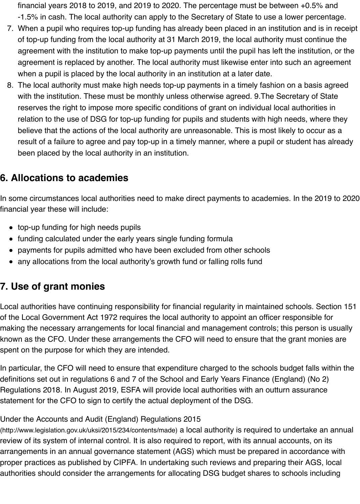with the institution. These must be monthly unless otherwise agreed. 9.The Secretary o reserves the right to impose more specific conditions of grant on individual local authorities relation to the use of DSG for top-up funding for pupils and students with high needs, w believe that the actions of the local authority are unreasonable. This is most likely to oce result of a failure to agree and pay top-up in a timely manner, where a pupil or student has been placed by the local authority in an institution.

# **6. Allocations to academies**

In some circumstances local authorities need to make direct payments to academies. In the financial year these will include:

- top-up funding for high needs pupils
- funding calculated under the early years single funding formula
- payments for pupils admitted who have been excluded from other schools
- any allocations from the local authority's growth fund or falling rolls fund

# **7. Use of grant monies**

Local authorities have continuing responsibility for financial regularity in maintained schools. of the Local Government Act 1972 requires the local authority to appoint an officer responsib making the necessary arrangements for local financial and management controls; this persor known as the CFO. Under these arrangements the CFO will need to ensure that the grant me spent on the purpose for which they are intended.

In particular, the CFO will need to ensure that expenditure charged to the schools budget fall definitions set out in regulations 6 and 7 of the School and Early Years Finance (England) (N Regulations 2018. In August 2019, ESFA will provide local authorities with an outturn assura statement for the CFO to sign to certify the actual deployment of the DSG.

#### Under the Accounts and Audit (England) Regulations 2015

(http://www.legislation.gov.uk/uksi/2015/234/contents/made) a local authority is required to undertake review of its system of internal control. It is also required to report, with its annual accounts, o arrangements in an annual governance statement (AGS) which must be prepared in accorda proper practices as published by CIPFA. In undertaking such reviews and preparing their AG authorities should consider the arrangements for allocating DSG budget shares to schools in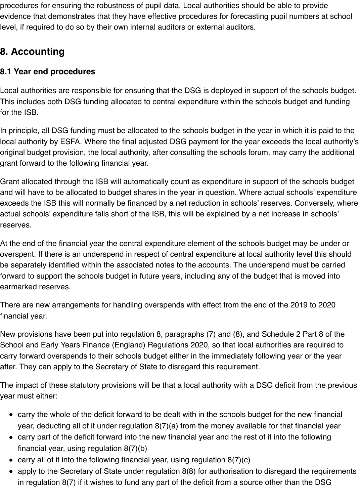procedures for ensuring the robustness of pupil data. Local authorities should be able to provide evidence that demonstrates that they have effective procedures for forecasting pupil numbers at school level, if required to do so by their own internal auditors or external auditors.

# **8. Accounting**

### **8.1 Year end procedures**

Local authorities are responsible for ensuring that the DSG is deployed in support of the schools budget. This includes both DSG funding allocated to central expenditure within the schools budget and funding for the ISB.

In principle, all DSG funding must be allocated to the schools budget in the year in which it is paid to the local authority by ESFA. Where the final adjusted DSG payment for the year exceeds the local authority's original budget provision, the local authority, after consulting the schools forum, may carry the additional grant forward to the following financial year.

Grant allocated through the ISB will automatically count as expenditure in support of the schools budget and will have to be allocated to budget shares in the year in question. Where actual schools' expenditure exceeds the ISB this will normally be financed by a net reduction in schools' reserves. Conversely, where actual schools' expenditure falls short of the ISB, this will be explained by a net increase in schools' reserves.

At the end of the financial year the central expenditure element of the schools budget may be under or overspent. If there is an underspend in respect of central expenditure at local authority level this should be separately identified within the associated notes to the accounts. The underspend must be carried forward to support the schools budget in future years, including any of the budget that is moved into earmarked reserves.

There are new arrangements for handling overspends with effect from the end of the 2019 to 2020 financial year.

New provisions have been put into regulation 8, paragraphs (7) and (8), and Schedule 2 Part 8 of the School and Early Years Finance (England) Regulations 2020, so that local authorities are required to carry forward overspends to their schools budget either in the immediately following year or the year after. They can apply to the Secretary of State to disregard this requirement.

The impact of these statutory provisions will be that a local authority with a DSG deficit from the previous year must either:

- carry the whole of the deficit forward to be dealt with in the schools budget for the new financial year, deducting all of it under regulation 8(7)(a) from the money available for that financial year
- carry part of the deficit forward into the new financial year and the rest of it into the following financial year, using regulation 8(7)(b)
- carry all of it into the following financial year, using regulation  $8(7)(c)$
- apply to the Secretary of State under regulation 8(8) for authorisation to disregard the requirements in regulation 8(7) if it wishes to fund any part of the deficit from a source other than the DSG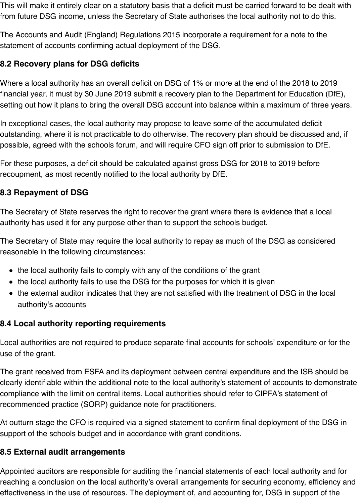This will make it entirely clear on a statutory basis that a deficit must be carried forward to be dealt with from future DSG income, unless the Secretary of State authorises the local authority not to do this.

The Accounts and Audit (England) Regulations 2015 incorporate a requirement for a note to the statement of accounts confirming actual deployment of the DSG.

#### **8.2 Recovery plans for DSG deficits**

Where a local authority has an overall deficit on DSG of 1% or more at the end of the 2018 to 2019 financial year, it must by 30 June 2019 submit a recovery plan to the Department for Education (DfE), setting out how it plans to bring the overall DSG account into balance within a maximum of three years.

In exceptional cases, the local authority may propose to leave some of the accumulated deficit outstanding, where it is not practicable to do otherwise. The recovery plan should be discussed and, if possible, agreed with the schools forum, and will require CFO sign off prior to submission to DfE.

For these purposes, a deficit should be calculated against gross DSG for 2018 to 2019 before recoupment, as most recently notified to the local authority by DfE.

#### **8.3 Repayment of DSG**

The Secretary of State reserves the right to recover the grant where there is evidence that a local authority has used it for any purpose other than to support the schools budget.

The Secretary of State may require the local authority to repay as much of the DSG as considered reasonable in the following circumstances:

- the local authority fails to comply with any of the conditions of the grant
- the local authority fails to use the DSG for the purposes for which it is given
- the external auditor indicates that they are not satisfied with the treatment of DSG in the local authority's accounts

#### **8.4 Local authority reporting requirements**

Local authorities are not required to produce separate final accounts for schools' expenditure or for the use of the grant.

The grant received from ESFA and its deployment between central expenditure and the ISB should be clearly identifiable within the additional note to the local authority's statement of accounts to demonstrate compliance with the limit on central items. Local authorities should refer to CIPFA's statement of recommended practice (SORP) guidance note for practitioners.

At outturn stage the CFO is required via a signed statement to confirm final deployment of the DSG in support of the schools budget and in accordance with grant conditions.

#### **8.5 External audit arrangements**

Appointed auditors are responsible for auditing the financial statements of each local authority and for reaching a conclusion on the local authority's overall arrangements for securing economy, efficiency and effectiveness in the use of resources. The deployment of, and accounting for, DSG in support of the